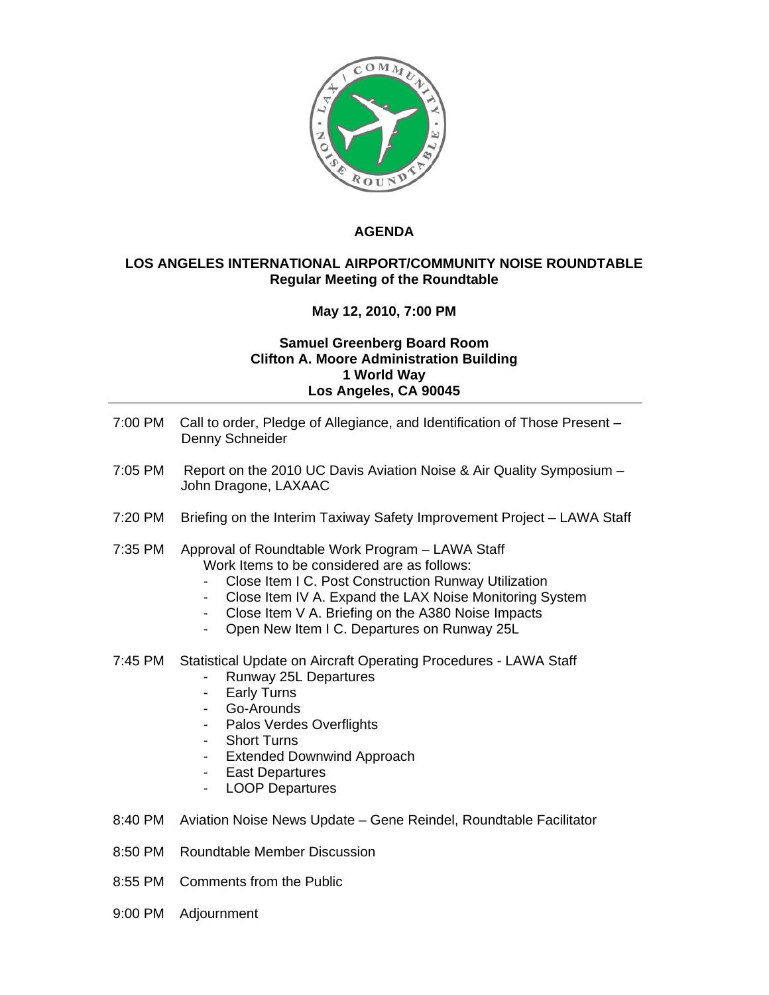

## **AGENDA**

## **LOS ANGELES INTERNATIONAL AIRPORT/COMMUNITY NOISE ROUNDTABLE Regular Meeting of the Roundtable**

## **May 12, 2010, 7:00 PM**

## **Samuel Greenberg Board Room Clifton A. Moore Administration Building 1 World Way Los Angeles, CA 90045**

- 7:00 PM Call to order, Pledge of Allegiance, and Identification of Those Present Denny Schneider
- 7:05 PM Report on the 2010 UC Davis Aviation Noise & Air Quality Symposium -John Dragone, LAXAAC
- 7:20 PM Briefing on the Interim Taxiway Safety Improvement Project LAWA Staff
- 7:35 PM Approval of Roundtable Work Program LAWA Staff Work Items to be considered are as follows:
	- Close Item I C. Post Construction Runway Utilization
	- Close Item IV A. Expand the LAX Noise Monitoring System
	- Close Item V A. Briefing on the A380 Noise Impacts
	- Open New Item I C. Departures on Runway 25L
- 7:45 PM Statistical Update on Aircraft Operating Procedures LAWA Staff
	- Runway 25L Departures
	- Early Turns
	- Go-Arounds
	- Palos Verdes Overflights
	- **Short Turns**
	- Extended Downwind Approach
	- East Departures
	- LOOP Departures
- 8:40 PM Aviation Noise News Update Gene Reindel, Roundtable Facilitator
- 8:50 PM Roundtable Member Discussion
- 8:55 PM Comments from the Public
- 9:00 PM Adjournment